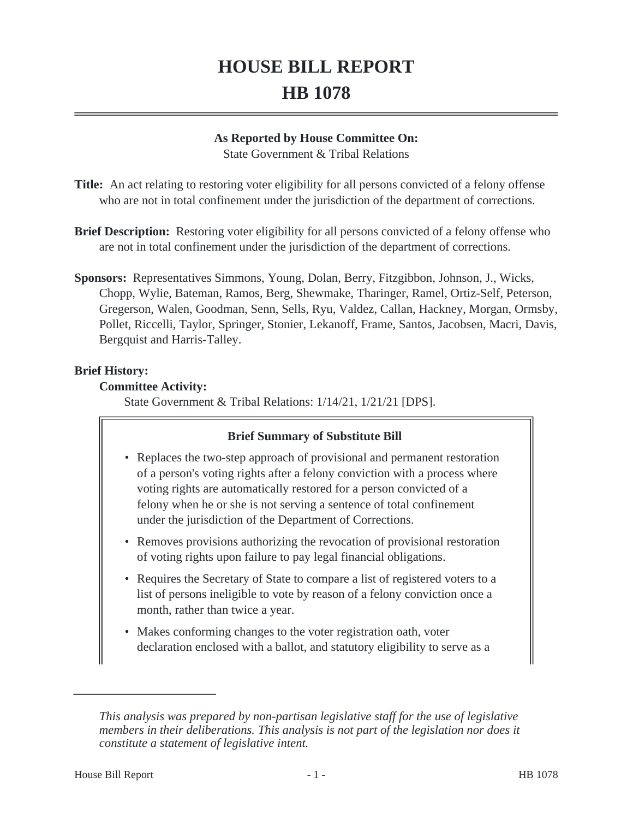# **HOUSE BILL REPORT HB 1078**

## **As Reported by House Committee On:**

State Government & Tribal Relations

**Title:** An act relating to restoring voter eligibility for all persons convicted of a felony offense who are not in total confinement under the jurisdiction of the department of corrections.

- **Brief Description:** Restoring voter eligibility for all persons convicted of a felony offense who are not in total confinement under the jurisdiction of the department of corrections.
- **Sponsors:** Representatives Simmons, Young, Dolan, Berry, Fitzgibbon, Johnson, J., Wicks, Chopp, Wylie, Bateman, Ramos, Berg, Shewmake, Tharinger, Ramel, Ortiz-Self, Peterson, Gregerson, Walen, Goodman, Senn, Sells, Ryu, Valdez, Callan, Hackney, Morgan, Ormsby, Pollet, Riccelli, Taylor, Springer, Stonier, Lekanoff, Frame, Santos, Jacobsen, Macri, Davis, Bergquist and Harris-Talley.

#### **Brief History:**

#### **Committee Activity:**

State Government & Tribal Relations: 1/14/21, 1/21/21 [DPS].

# **Brief Summary of Substitute Bill**

- Replaces the two-step approach of provisional and permanent restoration of a person's voting rights after a felony conviction with a process where voting rights are automatically restored for a person convicted of a felony when he or she is not serving a sentence of total confinement under the jurisdiction of the Department of Corrections.
- Removes provisions authorizing the revocation of provisional restoration of voting rights upon failure to pay legal financial obligations.
- Requires the Secretary of State to compare a list of registered voters to a list of persons ineligible to vote by reason of a felony conviction once a month, rather than twice a year.
- Makes conforming changes to the voter registration oath, voter declaration enclosed with a ballot, and statutory eligibility to serve as a

*This analysis was prepared by non-partisan legislative staff for the use of legislative members in their deliberations. This analysis is not part of the legislation nor does it constitute a statement of legislative intent.*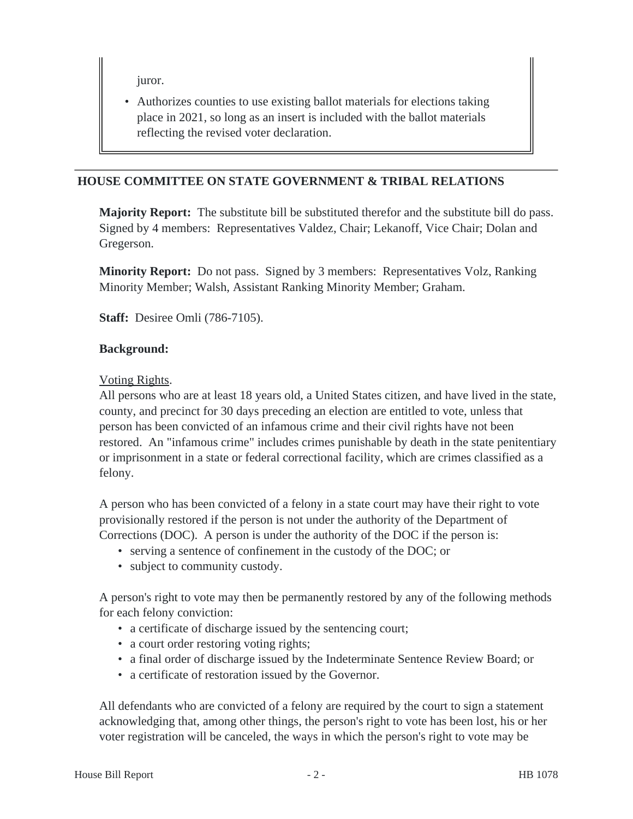juror.

• Authorizes counties to use existing ballot materials for elections taking place in 2021, so long as an insert is included with the ballot materials reflecting the revised voter declaration.

## **HOUSE COMMITTEE ON STATE GOVERNMENT & TRIBAL RELATIONS**

**Majority Report:** The substitute bill be substituted therefor and the substitute bill do pass. Signed by 4 members: Representatives Valdez, Chair; Lekanoff, Vice Chair; Dolan and Gregerson.

**Minority Report:** Do not pass. Signed by 3 members: Representatives Volz, Ranking Minority Member; Walsh, Assistant Ranking Minority Member; Graham.

**Staff:** Desiree Omli (786-7105).

#### **Background:**

#### Voting Rights.

All persons who are at least 18 years old, a United States citizen, and have lived in the state, county, and precinct for 30 days preceding an election are entitled to vote, unless that person has been convicted of an infamous crime and their civil rights have not been restored. An "infamous crime" includes crimes punishable by death in the state penitentiary or imprisonment in a state or federal correctional facility, which are crimes classified as a felony.

A person who has been convicted of a felony in a state court may have their right to vote provisionally restored if the person is not under the authority of the Department of Corrections (DOC). A person is under the authority of the DOC if the person is:

- serving a sentence of confinement in the custody of the DOC; or
- subject to community custody.

A person's right to vote may then be permanently restored by any of the following methods for each felony conviction:

- a certificate of discharge issued by the sentencing court;
- a court order restoring voting rights;
- a final order of discharge issued by the Indeterminate Sentence Review Board; or
- a certificate of restoration issued by the Governor.

All defendants who are convicted of a felony are required by the court to sign a statement acknowledging that, among other things, the person's right to vote has been lost, his or her voter registration will be canceled, the ways in which the person's right to vote may be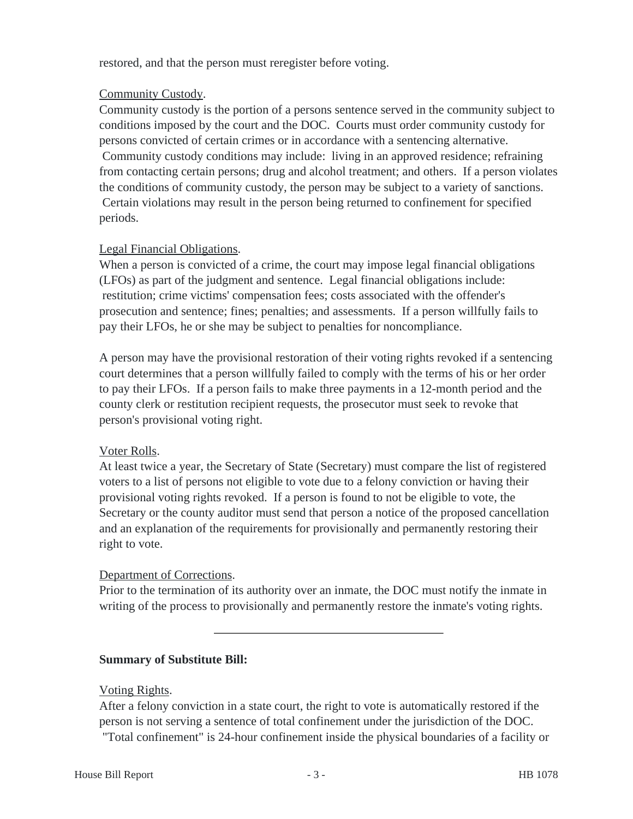restored, and that the person must reregister before voting.

# Community Custody.

Community custody is the portion of a persons sentence served in the community subject to conditions imposed by the court and the DOC. Courts must order community custody for persons convicted of certain crimes or in accordance with a sentencing alternative. Community custody conditions may include: living in an approved residence; refraining from contacting certain persons; drug and alcohol treatment; and others. If a person violates the conditions of community custody, the person may be subject to a variety of sanctions. Certain violations may result in the person being returned to confinement for specified periods.

# Legal Financial Obligations.

When a person is convicted of a crime, the court may impose legal financial obligations (LFOs) as part of the judgment and sentence. Legal financial obligations include: restitution; crime victims' compensation fees; costs associated with the offender's prosecution and sentence; fines; penalties; and assessments. If a person willfully fails to pay their LFOs, he or she may be subject to penalties for noncompliance.

A person may have the provisional restoration of their voting rights revoked if a sentencing court determines that a person willfully failed to comply with the terms of his or her order to pay their LFOs. If a person fails to make three payments in a 12-month period and the county clerk or restitution recipient requests, the prosecutor must seek to revoke that person's provisional voting right.

# Voter Rolls.

At least twice a year, the Secretary of State (Secretary) must compare the list of registered voters to a list of persons not eligible to vote due to a felony conviction or having their provisional voting rights revoked. If a person is found to not be eligible to vote, the Secretary or the county auditor must send that person a notice of the proposed cancellation and an explanation of the requirements for provisionally and permanently restoring their right to vote.

# Department of Corrections.

Prior to the termination of its authority over an inmate, the DOC must notify the inmate in writing of the process to provisionally and permanently restore the inmate's voting rights.

# **Summary of Substitute Bill:**

# Voting Rights.

After a felony conviction in a state court, the right to vote is automatically restored if the person is not serving a sentence of total confinement under the jurisdiction of the DOC. "Total confinement" is 24-hour confinement inside the physical boundaries of a facility or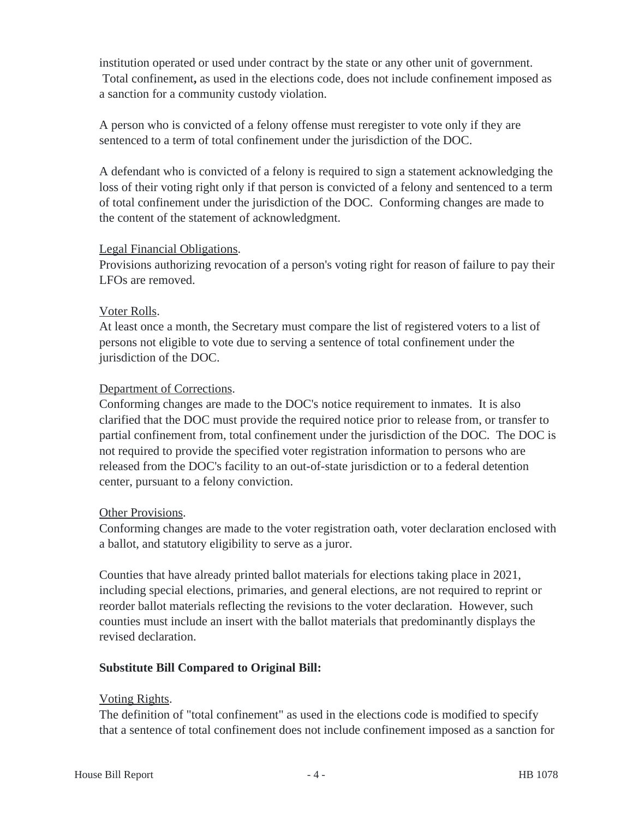institution operated or used under contract by the state or any other unit of government. Total confinement**,** as used in the elections code, does not include confinement imposed as a sanction for a community custody violation.

A person who is convicted of a felony offense must reregister to vote only if they are sentenced to a term of total confinement under the jurisdiction of the DOC.

A defendant who is convicted of a felony is required to sign a statement acknowledging the loss of their voting right only if that person is convicted of a felony and sentenced to a term of total confinement under the jurisdiction of the DOC. Conforming changes are made to the content of the statement of acknowledgment.

#### Legal Financial Obligations.

Provisions authorizing revocation of a person's voting right for reason of failure to pay their LFOs are removed.

#### Voter Rolls.

At least once a month, the Secretary must compare the list of registered voters to a list of persons not eligible to vote due to serving a sentence of total confinement under the jurisdiction of the DOC.

# Department of Corrections.

Conforming changes are made to the DOC's notice requirement to inmates. It is also clarified that the DOC must provide the required notice prior to release from, or transfer to partial confinement from, total confinement under the jurisdiction of the DOC. The DOC is not required to provide the specified voter registration information to persons who are released from the DOC's facility to an out-of-state jurisdiction or to a federal detention center, pursuant to a felony conviction.

#### Other Provisions.

Conforming changes are made to the voter registration oath, voter declaration enclosed with a ballot, and statutory eligibility to serve as a juror.

Counties that have already printed ballot materials for elections taking place in 2021, including special elections, primaries, and general elections, are not required to reprint or reorder ballot materials reflecting the revisions to the voter declaration. However, such counties must include an insert with the ballot materials that predominantly displays the revised declaration.

# **Substitute Bill Compared to Original Bill:**

# Voting Rights.

The definition of "total confinement" as used in the elections code is modified to specify that a sentence of total confinement does not include confinement imposed as a sanction for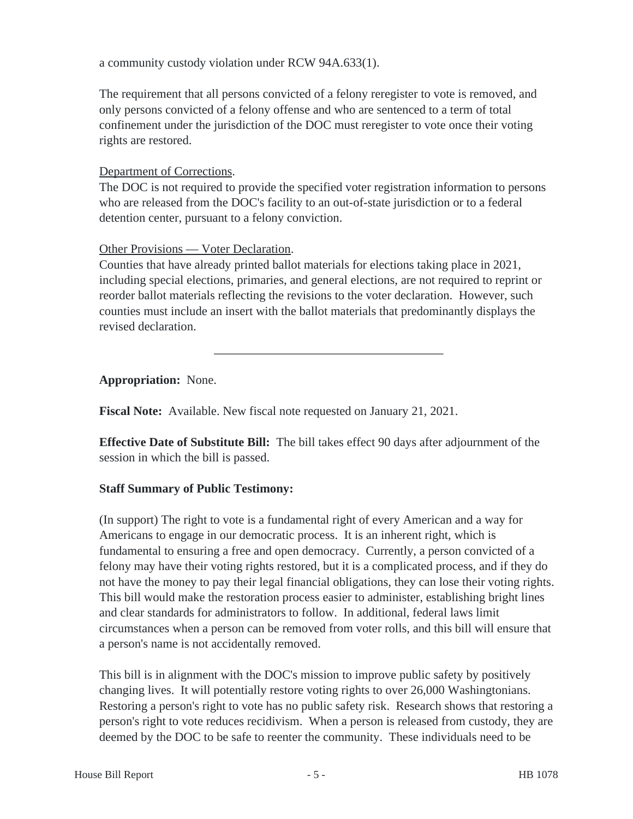a community custody violation under RCW 94A.633(1).

The requirement that all persons convicted of a felony reregister to vote is removed, and only persons convicted of a felony offense and who are sentenced to a term of total confinement under the jurisdiction of the DOC must reregister to vote once their voting rights are restored.

## Department of Corrections.

The DOC is not required to provide the specified voter registration information to persons who are released from the DOC's facility to an out-of-state jurisdiction or to a federal detention center, pursuant to a felony conviction.

# Other Provisions — Voter Declaration.

Counties that have already printed ballot materials for elections taking place in 2021, including special elections, primaries, and general elections, are not required to reprint or reorder ballot materials reflecting the revisions to the voter declaration. However, such counties must include an insert with the ballot materials that predominantly displays the revised declaration.

# **Appropriation:** None.

**Fiscal Note:** Available. New fiscal note requested on January 21, 2021.

**Effective Date of Substitute Bill:** The bill takes effect 90 days after adjournment of the session in which the bill is passed.

# **Staff Summary of Public Testimony:**

(In support) The right to vote is a fundamental right of every American and a way for Americans to engage in our democratic process. It is an inherent right, which is fundamental to ensuring a free and open democracy. Currently, a person convicted of a felony may have their voting rights restored, but it is a complicated process, and if they do not have the money to pay their legal financial obligations, they can lose their voting rights. This bill would make the restoration process easier to administer, establishing bright lines and clear standards for administrators to follow. In additional, federal laws limit circumstances when a person can be removed from voter rolls, and this bill will ensure that a person's name is not accidentally removed.

This bill is in alignment with the DOC's mission to improve public safety by positively changing lives. It will potentially restore voting rights to over 26,000 Washingtonians. Restoring a person's right to vote has no public safety risk. Research shows that restoring a person's right to vote reduces recidivism. When a person is released from custody, they are deemed by the DOC to be safe to reenter the community. These individuals need to be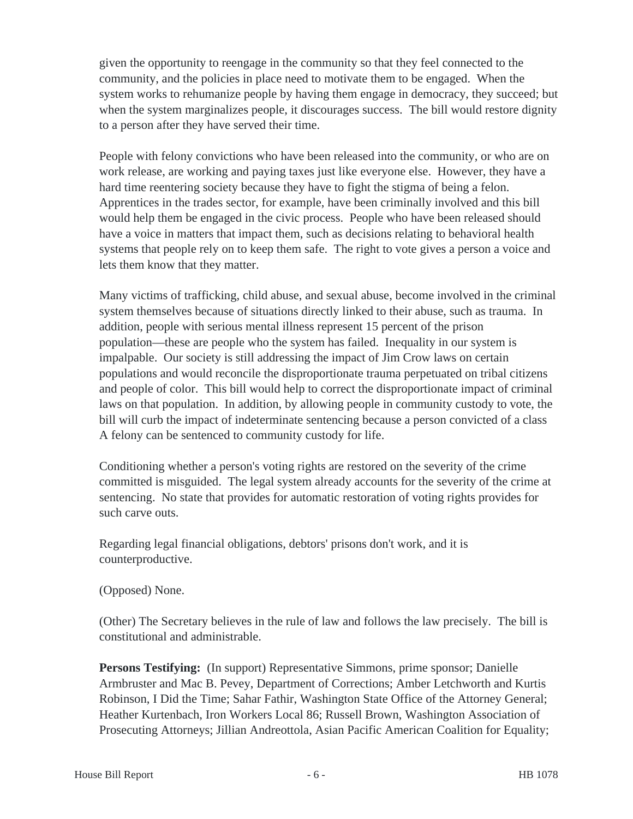given the opportunity to reengage in the community so that they feel connected to the community, and the policies in place need to motivate them to be engaged. When the system works to rehumanize people by having them engage in democracy, they succeed; but when the system marginalizes people, it discourages success. The bill would restore dignity to a person after they have served their time.

People with felony convictions who have been released into the community, or who are on work release, are working and paying taxes just like everyone else. However, they have a hard time reentering society because they have to fight the stigma of being a felon. Apprentices in the trades sector, for example, have been criminally involved and this bill would help them be engaged in the civic process. People who have been released should have a voice in matters that impact them, such as decisions relating to behavioral health systems that people rely on to keep them safe. The right to vote gives a person a voice and lets them know that they matter.

Many victims of trafficking, child abuse, and sexual abuse, become involved in the criminal system themselves because of situations directly linked to their abuse, such as trauma. In addition, people with serious mental illness represent 15 percent of the prison population—these are people who the system has failed. Inequality in our system is impalpable. Our society is still addressing the impact of Jim Crow laws on certain populations and would reconcile the disproportionate trauma perpetuated on tribal citizens and people of color. This bill would help to correct the disproportionate impact of criminal laws on that population. In addition, by allowing people in community custody to vote, the bill will curb the impact of indeterminate sentencing because a person convicted of a class A felony can be sentenced to community custody for life.

Conditioning whether a person's voting rights are restored on the severity of the crime committed is misguided. The legal system already accounts for the severity of the crime at sentencing. No state that provides for automatic restoration of voting rights provides for such carve outs.

Regarding legal financial obligations, debtors' prisons don't work, and it is counterproductive.

# (Opposed) None.

(Other) The Secretary believes in the rule of law and follows the law precisely. The bill is constitutional and administrable.

**Persons Testifying:** (In support) Representative Simmons, prime sponsor; Danielle Armbruster and Mac B. Pevey, Department of Corrections; Amber Letchworth and Kurtis Robinson, I Did the Time; Sahar Fathir, Washington State Office of the Attorney General; Heather Kurtenbach, Iron Workers Local 86; Russell Brown, Washington Association of Prosecuting Attorneys; Jillian Andreottola, Asian Pacific American Coalition for Equality;